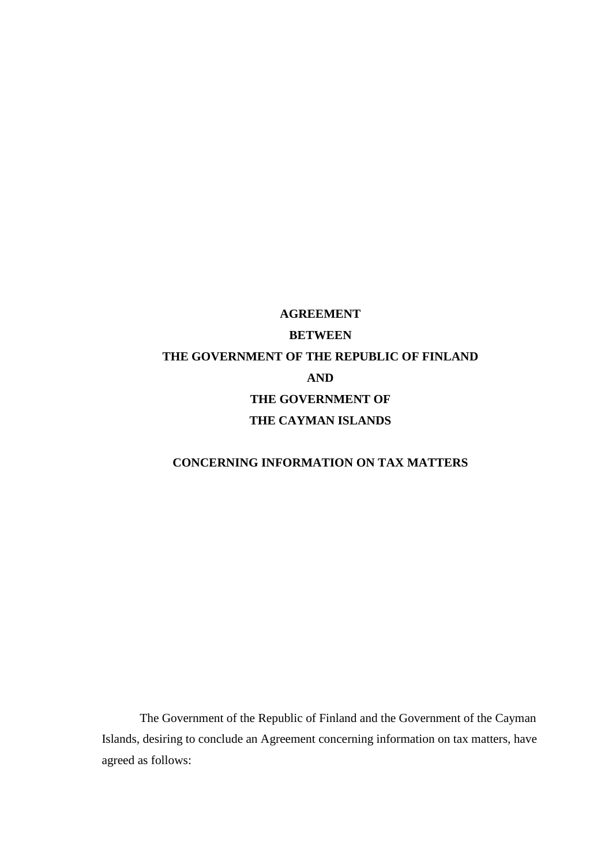# **AGREEMENT BETWEEN THE GOVERNMENT OF THE REPUBLIC OF FINLAND AND THE GOVERNMENT OF THE CAYMAN ISLANDS**

### **CONCERNING INFORMATION ON TAX MATTERS**

The Government of the Republic of Finland and the Government of the Cayman Islands, desiring to conclude an Agreement concerning information on tax matters, have agreed as follows: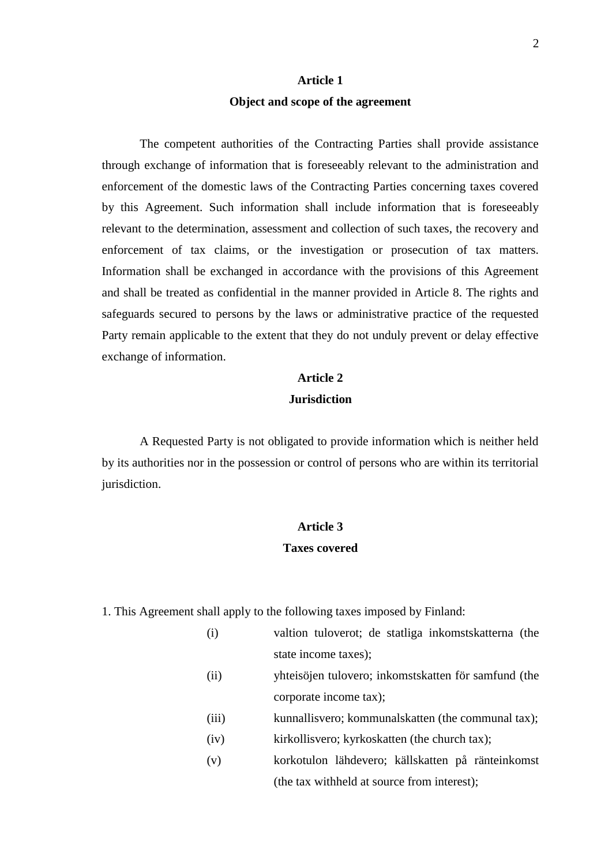### **Article 1 Object and scope of the agreement**

The competent authorities of the Contracting Parties shall provide assistance through exchange of information that is foreseeably relevant to the administration and enforcement of the domestic laws of the Contracting Parties concerning taxes covered by this Agreement. Such information shall include information that is foreseeably relevant to the determination, assessment and collection of such taxes, the recovery and enforcement of tax claims, or the investigation or prosecution of tax matters. Information shall be exchanged in accordance with the provisions of this Agreement and shall be treated as confidential in the manner provided in Article 8. The rights and safeguards secured to persons by the laws or administrative practice of the requested Party remain applicable to the extent that they do not unduly prevent or delay effective exchange of information.

### **Article 2 Jurisdiction**

A Requested Party is not obligated to provide information which is neither held by its authorities nor in the possession or control of persons who are within its territorial jurisdiction.

#### **Article 3**

#### **Taxes covered**

1. This Agreement shall apply to the following taxes imposed by Finland:

- (i) valtion tuloverot; de statliga inkomstskatterna (the state income taxes);
- (ii) yhteisöjen tulovero; inkomstskatten för samfund (the corporate income tax);
- (iii) kunnallisvero; kommunalskatten (the communal tax);
- (iv) kirkollisvero; kyrkoskatten (the church tax);
- (v) korkotulon lähdevero; källskatten på ränteinkomst (the tax withheld at source from interest);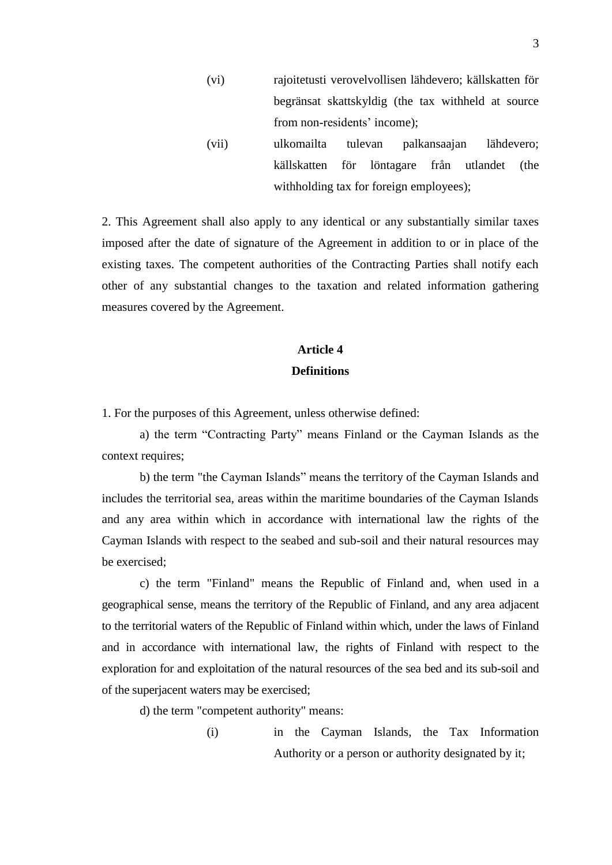- (vi) rajoitetusti verovelvollisen lähdevero; källskatten för begränsat skattskyldig (the tax withheld at source from non-residents' income);
- (vii) ulkomailta tulevan palkansaajan lähdevero; källskatten för löntagare från utlandet (the withholding tax for foreign employees);

2. This Agreement shall also apply to any identical or any substantially similar taxes imposed after the date of signature of the Agreement in addition to or in place of the existing taxes. The competent authorities of the Contracting Parties shall notify each other of any substantial changes to the taxation and related information gathering measures covered by the Agreement.

### **Article 4 Definitions**

1. For the purposes of this Agreement, unless otherwise defined:

a) the term "Contracting Party" means Finland or the Cayman Islands as the context requires;

b) the term "the Cayman Islands" means the territory of the Cayman Islands and includes the territorial sea, areas within the maritime boundaries of the Cayman Islands and any area within which in accordance with international law the rights of the Cayman Islands with respect to the seabed and sub-soil and their natural resources may be exercised;

c) the term "Finland" means the Republic of Finland and, when used in a geographical sense, means the territory of the Republic of Finland, and any area adjacent to the territorial waters of the Republic of Finland within which, under the laws of Finland and in accordance with international law, the rights of Finland with respect to the exploration for and exploitation of the natural resources of the sea bed and its sub-soil and of the superjacent waters may be exercised;

d) the term "competent authority" means:

(i) in the Cayman Islands, the Tax Information Authority or a person or authority designated by it;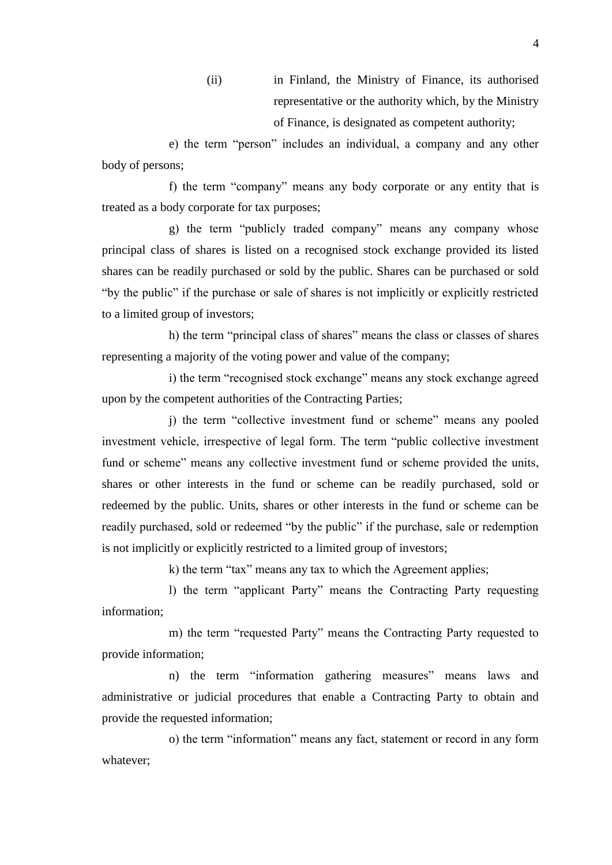(ii) in Finland, the Ministry of Finance, its authorised representative or the authority which, by the Ministry of Finance, is designated as competent authority;

e) the term "person" includes an individual, a company and any other body of persons;

f) the term "company" means any body corporate or any entity that is treated as a body corporate for tax purposes;

g) the term "publicly traded company" means any company whose principal class of shares is listed on a recognised stock exchange provided its listed shares can be readily purchased or sold by the public. Shares can be purchased or sold "by the public" if the purchase or sale of shares is not implicitly or explicitly restricted to a limited group of investors;

h) the term "principal class of shares" means the class or classes of shares representing a majority of the voting power and value of the company;

i) the term "recognised stock exchange" means any stock exchange agreed upon by the competent authorities of the Contracting Parties;

j) the term "collective investment fund or scheme" means any pooled investment vehicle, irrespective of legal form. The term "public collective investment fund or scheme" means any collective investment fund or scheme provided the units, shares or other interests in the fund or scheme can be readily purchased, sold or redeemed by the public. Units, shares or other interests in the fund or scheme can be readily purchased, sold or redeemed "by the public" if the purchase, sale or redemption is not implicitly or explicitly restricted to a limited group of investors;

k) the term "tax" means any tax to which the Agreement applies;

l) the term "applicant Party" means the Contracting Party requesting information;

m) the term "requested Party" means the Contracting Party requested to provide information;

n) the term "information gathering measures" means laws and administrative or judicial procedures that enable a Contracting Party to obtain and provide the requested information;

o) the term "information" means any fact, statement or record in any form whatever;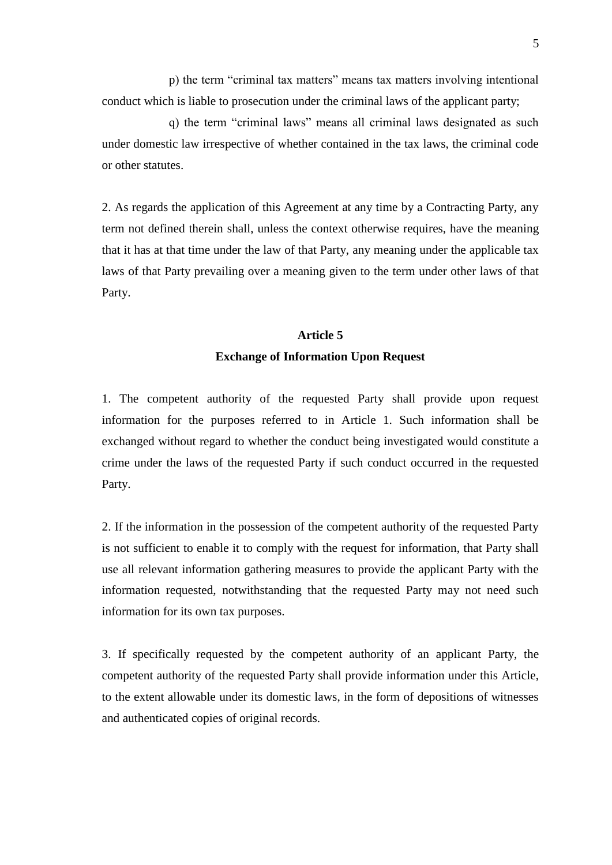p) the term "criminal tax matters" means tax matters involving intentional conduct which is liable to prosecution under the criminal laws of the applicant party;

q) the term "criminal laws" means all criminal laws designated as such under domestic law irrespective of whether contained in the tax laws, the criminal code or other statutes.

2. As regards the application of this Agreement at any time by a Contracting Party, any term not defined therein shall, unless the context otherwise requires, have the meaning that it has at that time under the law of that Party, any meaning under the applicable tax laws of that Party prevailing over a meaning given to the term under other laws of that Party.

### **Article 5 Exchange of Information Upon Request**

1. The competent authority of the requested Party shall provide upon request information for the purposes referred to in Article 1. Such information shall be exchanged without regard to whether the conduct being investigated would constitute a crime under the laws of the requested Party if such conduct occurred in the requested Party.

2. If the information in the possession of the competent authority of the requested Party is not sufficient to enable it to comply with the request for information, that Party shall use all relevant information gathering measures to provide the applicant Party with the information requested, notwithstanding that the requested Party may not need such information for its own tax purposes.

3. If specifically requested by the competent authority of an applicant Party, the competent authority of the requested Party shall provide information under this Article, to the extent allowable under its domestic laws, in the form of depositions of witnesses and authenticated copies of original records.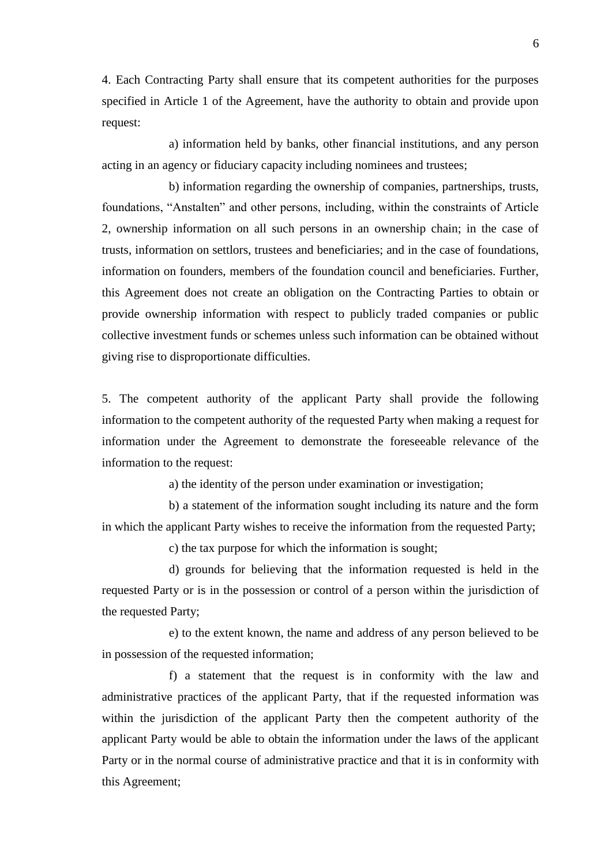4. Each Contracting Party shall ensure that its competent authorities for the purposes specified in Article 1 of the Agreement, have the authority to obtain and provide upon request:

a) information held by banks, other financial institutions, and any person acting in an agency or fiduciary capacity including nominees and trustees;

b) information regarding the ownership of companies, partnerships, trusts, foundations, "Anstalten" and other persons, including, within the constraints of Article 2, ownership information on all such persons in an ownership chain; in the case of trusts, information on settlors, trustees and beneficiaries; and in the case of foundations, information on founders, members of the foundation council and beneficiaries. Further, this Agreement does not create an obligation on the Contracting Parties to obtain or provide ownership information with respect to publicly traded companies or public collective investment funds or schemes unless such information can be obtained without giving rise to disproportionate difficulties.

5. The competent authority of the applicant Party shall provide the following information to the competent authority of the requested Party when making a request for information under the Agreement to demonstrate the foreseeable relevance of the information to the request:

a) the identity of the person under examination or investigation;

b) a statement of the information sought including its nature and the form in which the applicant Party wishes to receive the information from the requested Party;

c) the tax purpose for which the information is sought;

d) grounds for believing that the information requested is held in the requested Party or is in the possession or control of a person within the jurisdiction of the requested Party;

e) to the extent known, the name and address of any person believed to be in possession of the requested information;

f) a statement that the request is in conformity with the law and administrative practices of the applicant Party, that if the requested information was within the jurisdiction of the applicant Party then the competent authority of the applicant Party would be able to obtain the information under the laws of the applicant Party or in the normal course of administrative practice and that it is in conformity with this Agreement;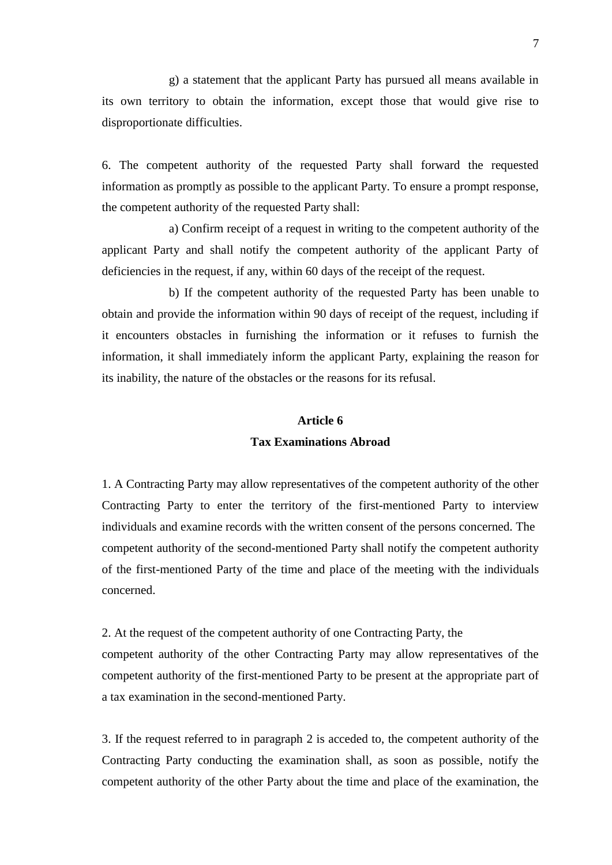g) a statement that the applicant Party has pursued all means available in its own territory to obtain the information, except those that would give rise to disproportionate difficulties.

6. The competent authority of the requested Party shall forward the requested information as promptly as possible to the applicant Party. To ensure a prompt response, the competent authority of the requested Party shall:

a) Confirm receipt of a request in writing to the competent authority of the applicant Party and shall notify the competent authority of the applicant Party of deficiencies in the request, if any, within 60 days of the receipt of the request.

b) If the competent authority of the requested Party has been unable to obtain and provide the information within 90 days of receipt of the request, including if it encounters obstacles in furnishing the information or it refuses to furnish the information, it shall immediately inform the applicant Party, explaining the reason for its inability, the nature of the obstacles or the reasons for its refusal.

# **Article 6 Tax Examinations Abroad**

1. A Contracting Party may allow representatives of the competent authority of the other Contracting Party to enter the territory of the first-mentioned Party to interview individuals and examine records with the written consent of the persons concerned. The competent authority of the second-mentioned Party shall notify the competent authority of the first-mentioned Party of the time and place of the meeting with the individuals concerned.

2. At the request of the competent authority of one Contracting Party, the competent authority of the other Contracting Party may allow representatives of the competent authority of the first-mentioned Party to be present at the appropriate part of a tax examination in the second-mentioned Party.

3. If the request referred to in paragraph 2 is acceded to, the competent authority of the Contracting Party conducting the examination shall, as soon as possible, notify the competent authority of the other Party about the time and place of the examination, the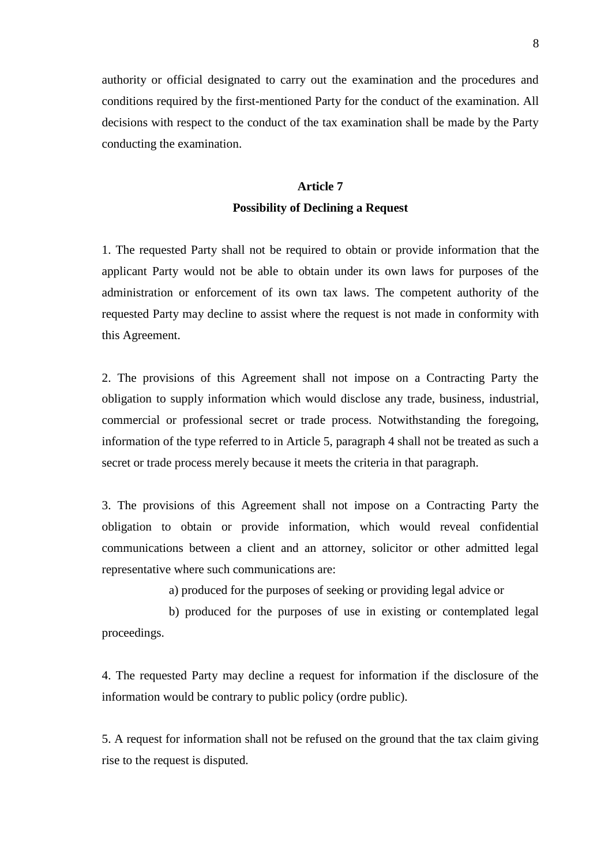authority or official designated to carry out the examination and the procedures and conditions required by the first-mentioned Party for the conduct of the examination. All decisions with respect to the conduct of the tax examination shall be made by the Party conducting the examination.

## **Article 7 Possibility of Declining a Request**

1. The requested Party shall not be required to obtain or provide information that the applicant Party would not be able to obtain under its own laws for purposes of the administration or enforcement of its own tax laws. The competent authority of the requested Party may decline to assist where the request is not made in conformity with this Agreement.

2. The provisions of this Agreement shall not impose on a Contracting Party the obligation to supply information which would disclose any trade, business, industrial, commercial or professional secret or trade process. Notwithstanding the foregoing, information of the type referred to in Article 5, paragraph 4 shall not be treated as such a secret or trade process merely because it meets the criteria in that paragraph.

3. The provisions of this Agreement shall not impose on a Contracting Party the obligation to obtain or provide information, which would reveal confidential communications between a client and an attorney, solicitor or other admitted legal representative where such communications are:

a) produced for the purposes of seeking or providing legal advice or

b) produced for the purposes of use in existing or contemplated legal proceedings.

4. The requested Party may decline a request for information if the disclosure of the information would be contrary to public policy (ordre public).

5. A request for information shall not be refused on the ground that the tax claim giving rise to the request is disputed.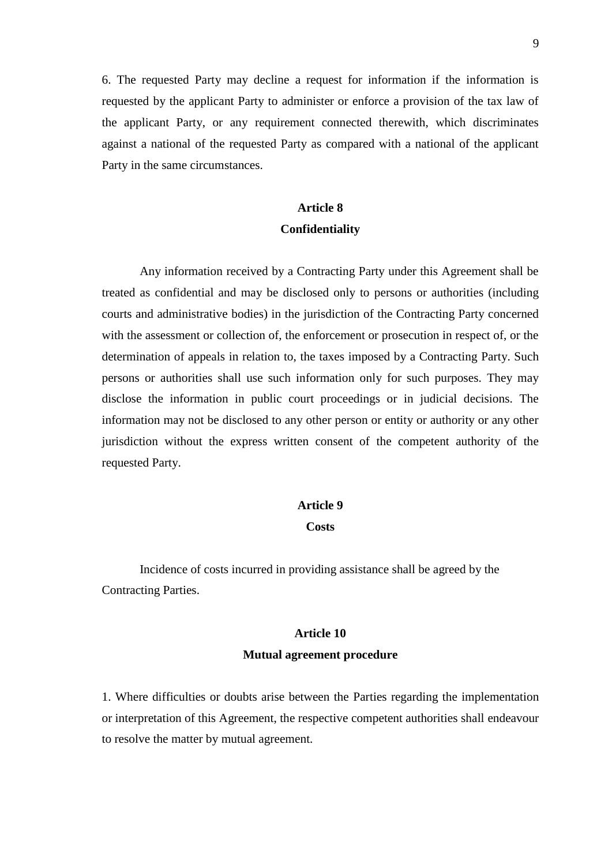6. The requested Party may decline a request for information if the information is requested by the applicant Party to administer or enforce a provision of the tax law of the applicant Party, or any requirement connected therewith, which discriminates against a national of the requested Party as compared with a national of the applicant Party in the same circumstances.

### **Article 8 Confidentiality**

Any information received by a Contracting Party under this Agreement shall be treated as confidential and may be disclosed only to persons or authorities (including courts and administrative bodies) in the jurisdiction of the Contracting Party concerned with the assessment or collection of, the enforcement or prosecution in respect of, or the determination of appeals in relation to, the taxes imposed by a Contracting Party. Such persons or authorities shall use such information only for such purposes. They may disclose the information in public court proceedings or in judicial decisions. The information may not be disclosed to any other person or entity or authority or any other jurisdiction without the express written consent of the competent authority of the requested Party.

# **Article 9**

### **Costs**

Incidence of costs incurred in providing assistance shall be agreed by the Contracting Parties.

### **Article 10 Mutual agreement procedure**

1. Where difficulties or doubts arise between the Parties regarding the implementation or interpretation of this Agreement, the respective competent authorities shall endeavour to resolve the matter by mutual agreement.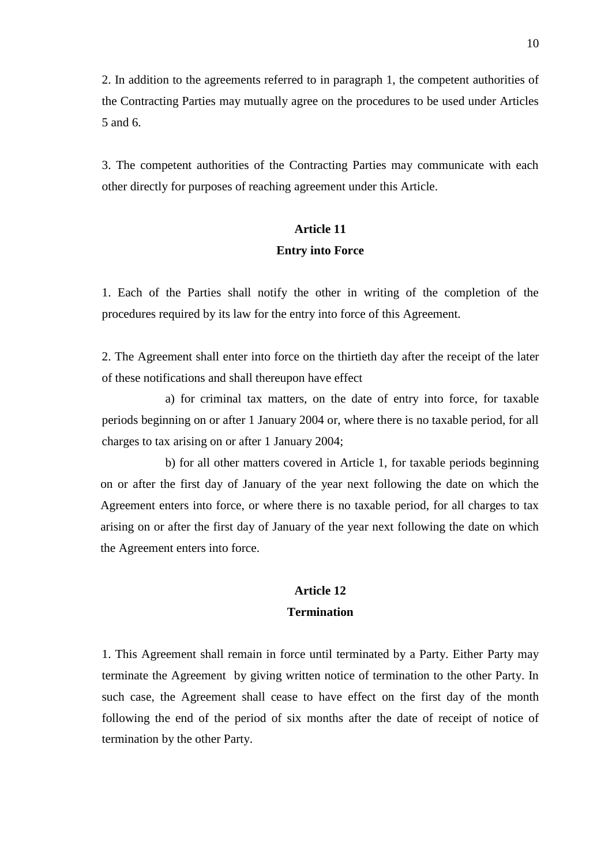2. In addition to the agreements referred to in paragraph 1, the competent authorities of the Contracting Parties may mutually agree on the procedures to be used under Articles 5 and 6.

3. The competent authorities of the Contracting Parties may communicate with each other directly for purposes of reaching agreement under this Article.

### **Article 11 Entry into Force**

1. Each of the Parties shall notify the other in writing of the completion of the procedures required by its law for the entry into force of this Agreement.

2. The Agreement shall enter into force on the thirtieth day after the receipt of the later of these notifications and shall thereupon have effect

a) for criminal tax matters, on the date of entry into force, for taxable periods beginning on or after 1 January 2004 or, where there is no taxable period, for all charges to tax arising on or after 1 January 2004;

b) for all other matters covered in Article 1, for taxable periods beginning on or after the first day of January of the year next following the date on which the Agreement enters into force, or where there is no taxable period, for all charges to tax arising on or after the first day of January of the year next following the date on which the Agreement enters into force.

### **Article 12 Termination**

1. This Agreement shall remain in force until terminated by a Party. Either Party may terminate the Agreement by giving written notice of termination to the other Party. In such case, the Agreement shall cease to have effect on the first day of the month following the end of the period of six months after the date of receipt of notice of termination by the other Party.